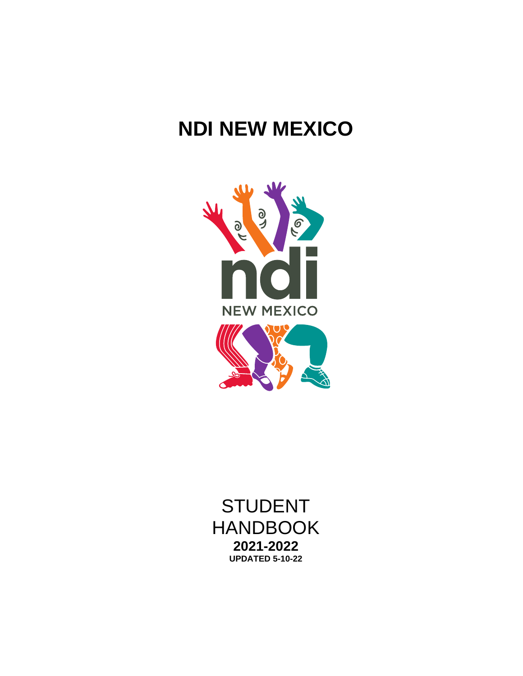# **NDI NEW MEXICO**



STUDENT HANDBOOK **2021-2022 UPDATED 5-10-22**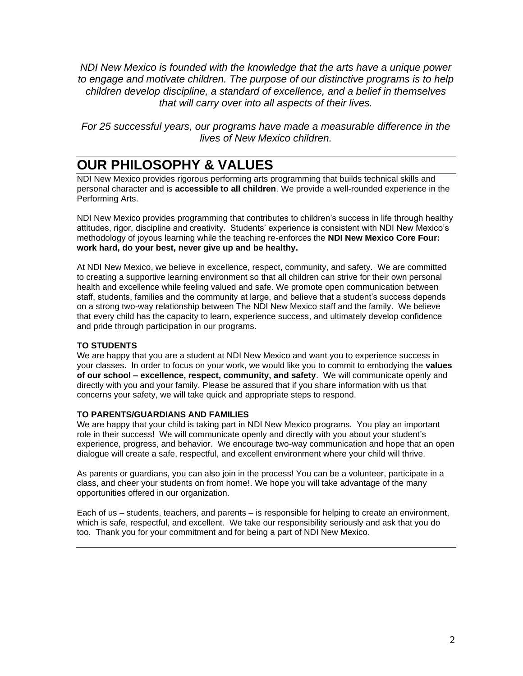*NDI New Mexico is founded with the knowledge that the arts have a unique power to engage and motivate children. The purpose of our distinctive programs is to help children develop discipline, a standard of excellence, and a belief in themselves that will carry over into all aspects of their lives.*

*For 25 successful years, our programs have made a measurable difference in the lives of New Mexico children.*

### **OUR PHILOSOPHY & VALUES**

NDI New Mexico provides rigorous performing arts programming that builds technical skills and personal character and is **accessible to all children**. We provide a well-rounded experience in the Performing Arts.

NDI New Mexico provides programming that contributes to children's success in life through healthy attitudes, rigor, discipline and creativity. Students' experience is consistent with NDI New Mexico's methodology of joyous learning while the teaching re-enforces the **NDI New Mexico Core Four: work hard, do your best, never give up and be healthy.**

At NDI New Mexico, we believe in excellence, respect, community, and safety. We are committed to creating a supportive learning environment so that all children can strive for their own personal health and excellence while feeling valued and safe. We promote open communication between staff, students, families and the community at large, and believe that a student's success depends on a strong two-way relationship between The NDI New Mexico staff and the family. We believe that every child has the capacity to learn, experience success, and ultimately develop confidence and pride through participation in our programs.

#### **TO STUDENTS**

We are happy that you are a student at NDI New Mexico and want you to experience success in your classes. In order to focus on your work, we would like you to commit to embodying the **values of our school – excellence, respect, community, and safety**. We will communicate openly and directly with you and your family. Please be assured that if you share information with us that concerns your safety, we will take quick and appropriate steps to respond.

#### **TO PARENTS/GUARDIANS AND FAMILIES**

We are happy that your child is taking part in NDI New Mexico programs. You play an important role in their success! We will communicate openly and directly with you about your student's experience, progress, and behavior. We encourage two-way communication and hope that an open dialogue will create a safe, respectful, and excellent environment where your child will thrive.

As parents or guardians, you can also join in the process! You can be a volunteer, participate in a class, and cheer your students on from home!. We hope you will take advantage of the many opportunities offered in our organization.

Each of us – students, teachers, and parents – is responsible for helping to create an environment, which is safe, respectful, and excellent. We take our responsibility seriously and ask that you do too. Thank you for your commitment and for being a part of NDI New Mexico.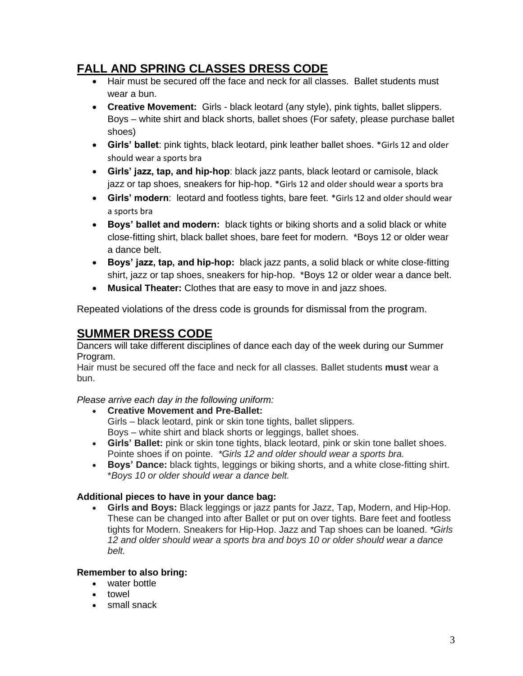#### **FALL AND SPRING CLASSES DRESS CODE**

- Hair must be secured off the face and neck for all classes. Ballet students must wear a bun.
- **Creative Movement:** Girls black leotard (any style), pink tights, ballet slippers. Boys – white shirt and black shorts, ballet shoes (For safety, please purchase ballet shoes)
- **Girls' ballet**: pink tights, black leotard, pink leather ballet shoes. \*Girls 12 and older should wear a sports bra
- **Girls' jazz, tap, and hip-hop**: black jazz pants, black leotard or camisole, black jazz or tap shoes, sneakers for hip-hop. \*Girls 12 and older should wear a sports bra
- **Girls' modern**: leotard and footless tights, bare feet. \*Girls 12 and older should wear a sports bra
- **Boys' ballet and modern:** black tights or biking shorts and a solid black or white close-fitting shirt, black ballet shoes, bare feet for modern. \*Boys 12 or older wear a dance belt.
- **Boys' jazz, tap, and hip-hop:** black jazz pants, a solid black or white close-fitting shirt, jazz or tap shoes, sneakers for hip-hop. \*Boys 12 or older wear a dance belt.
- **Musical Theater:** Clothes that are easy to move in and jazz shoes.

Repeated violations of the dress code is grounds for dismissal from the program.

### **SUMMER DRESS CODE**

Dancers will take different disciplines of dance each day of the week during our Summer Program.

Hair must be secured off the face and neck for all classes. Ballet students **must** wear a bun.

*Please arrive each day in the following uniform:*

• **Creative Movement and Pre-Ballet:**

Girls – black leotard, pink or skin tone tights, ballet slippers.

Boys – white shirt and black shorts or leggings, ballet shoes.

- **Girls' Ballet:** pink or skin tone tights, black leotard, pink or skin tone ballet shoes. Pointe shoes if on pointe. *\*Girls 12 and older should wear a sports bra.*
- **Boys' Dance:** black tights, leggings or biking shorts, and a white close-fitting shirt. \**Boys 10 or older should wear a dance belt.*

#### **Additional pieces to have in your dance bag:**

• **Girls and Boys:** Black leggings or jazz pants for Jazz, Tap, Modern, and Hip-Hop. These can be changed into after Ballet or put on over tights. Bare feet and footless tights for Modern. Sneakers for Hip-Hop. Jazz and Tap shoes can be loaned. *\*Girls 12 and older should wear a sports bra and boys 10 or older should wear a dance belt.*

#### **Remember to also bring:**

- water bottle
- towel
- small snack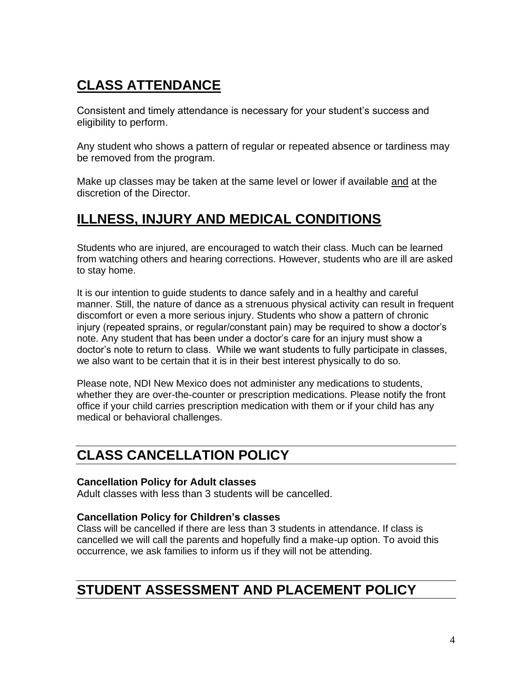# **CLASS ATTENDANCE**

Consistent and timely attendance is necessary for your student's success and eligibility to perform.

Any student who shows a pattern of regular or repeated absence or tardiness may be removed from the program.

Make up classes may be taken at the same level or lower if available and at the discretion of the Director.

### **ILLNESS, INJURY AND MEDICAL CONDITIONS**

Students who are injured, are encouraged to watch their class. Much can be learned from watching others and hearing corrections. However, students who are ill are asked to stay home.

It is our intention to guide students to dance safely and in a healthy and careful manner. Still, the nature of dance as a strenuous physical activity can result in frequent discomfort or even a more serious injury. Students who show a pattern of chronic injury (repeated sprains, or regular/constant pain) may be required to show a doctor's note. Any student that has been under a doctor's care for an injury must show a doctor's note to return to class. While we want students to fully participate in classes, we also want to be certain that it is in their best interest physically to do so.

Please note, NDI New Mexico does not administer any medications to students, whether they are over-the-counter or prescription medications. Please notify the front office if your child carries prescription medication with them or if your child has any medical or behavioral challenges.

## **CLASS CANCELLATION POLICY**

#### **Cancellation Policy for Adult classes**

Adult classes with less than 3 students will be cancelled.

#### **Cancellation Policy for Children's classes**

Class will be cancelled if there are less than 3 students in attendance. If class is cancelled we will call the parents and hopefully find a make-up option. To avoid this occurrence, we ask families to inform us if they will not be attending.

### **STUDENT ASSESSMENT AND PLACEMENT POLICY**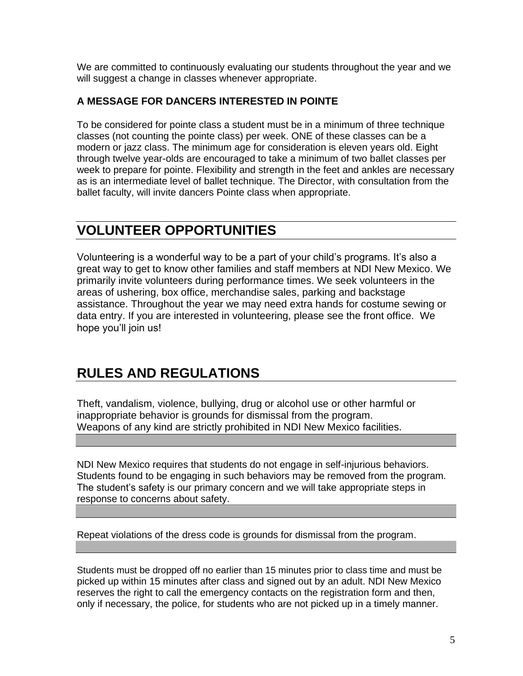We are committed to continuously evaluating our students throughout the year and we will suggest a change in classes whenever appropriate.

#### **A MESSAGE FOR DANCERS INTERESTED IN POINTE**

To be considered for pointe class a student must be in a minimum of three technique classes (not counting the pointe class) per week. ONE of these classes can be a modern or jazz class. The minimum age for consideration is eleven years old. Eight through twelve year-olds are encouraged to take a minimum of two ballet classes per week to prepare for pointe. Flexibility and strength in the feet and ankles are necessary as is an intermediate level of ballet technique. The Director, with consultation from the ballet faculty, will invite dancers Pointe class when appropriate.

### **VOLUNTEER OPPORTUNITIES**

Volunteering is a wonderful way to be a part of your child's programs. It's also a great way to get to know other families and staff members at NDI New Mexico. We primarily invite volunteers during performance times. We seek volunteers in the areas of ushering, box office, merchandise sales, parking and backstage assistance. Throughout the year we may need extra hands for costume sewing or data entry. If you are interested in volunteering, please see the front office. We hope you'll join us!

### **RULES AND REGULATIONS**

Theft, vandalism, violence, bullying, drug or alcohol use or other harmful or inappropriate behavior is grounds for dismissal from the program. Weapons of any kind are strictly prohibited in NDI New Mexico facilities.

NDI New Mexico requires that students do not engage in self-injurious behaviors. Students found to be engaging in such behaviors may be removed from the program. The student's safety is our primary concern and we will take appropriate steps in response to concerns about safety.

Repeat violations of the dress code is grounds for dismissal from the program.

Students must be dropped off no earlier than 15 minutes prior to class time and must be picked up within 15 minutes after class and signed out by an adult. NDI New Mexico reserves the right to call the emergency contacts on the registration form and then, only if necessary, the police, for students who are not picked up in a timely manner.